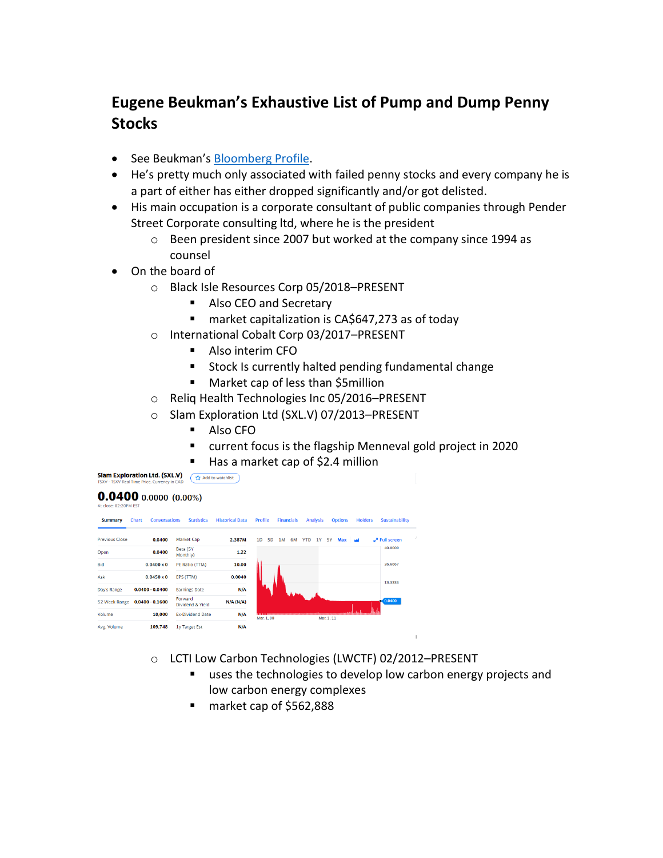## **Eugene Beukman's Exhaustive List of Pump and Dump Penny Stocks**

- See Beukman's [Bloomberg Profile.](https://www.bloomberg.com/profile/person/1749984)
- He's pretty much only associated with failed penny stocks and every company he is a part of either has either dropped significantly and/or got delisted.
- His main occupation is a corporate consultant of public companies through Pender Street Corporate consulting ltd, where he is the president
	- o Been president since 2007 but worked at the company since 1994 as counsel
- On the board of
	- o Black Isle Resources Corp 05/2018–PRESENT
		- Also CEO and Secretary
		- market capitalization is CA\$647,273 as of today
	- o International Cobalt Corp 03/2017–PRESENT
		- Also interim CFO
		- Stock Is currently halted pending fundamental change
		- Market cap of less than \$5million
	- o Reliq Health Technologies Inc 05/2016–PRESENT
	- o Slam Exploration Ltd (SXL.V) 07/2013–PRESENT
		- Also CFO
		- current focus is the flagship Menneval gold project in 2020
- **E** Has a market cap of \$2.4 million

## $0.0400$  0.0000 (0.00%)



- o LCTI Low Carbon Technologies (LWCTF) 02/2012–PRESENT
	- uses the technologies to develop low carbon energy projects and low carbon energy complexes
	- market cap of \$562,888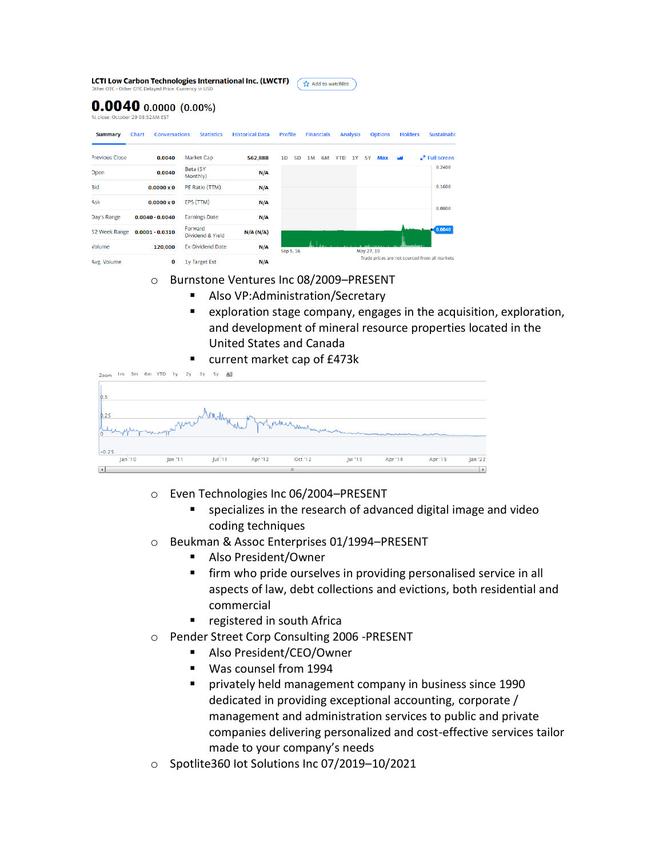|                | Other OTC - Other OTC Delayed Price. Currency in USD        |                      |                             | LCTI Low Carbon Technologies International Inc. (LWCTF) |                |           | Add to watchlist  |                 |           |                         |                |                                               |  |
|----------------|-------------------------------------------------------------|----------------------|-----------------------------|---------------------------------------------------------|----------------|-----------|-------------------|-----------------|-----------|-------------------------|----------------|-----------------------------------------------|--|
|                | $0.0040$ 0.0000 (0.00%)<br>At close: October 29 08:52AM EST |                      |                             |                                                         |                |           |                   |                 |           |                         |                |                                               |  |
| <b>Summary</b> | <b>Chart</b>                                                | <b>Conversations</b> | <b>Statistics</b>           | <b>Historical Data</b>                                  | <b>Profile</b> |           | <b>Financials</b> | <b>Analysis</b> |           | <b>Options</b>          | <b>Holders</b> | <b>Sustainabil</b>                            |  |
| Previous Close | 0.0040                                                      |                      | <b>Market Cap</b>           | 562,888                                                 | 1 <sub>D</sub> | <b>5D</b> | 1M<br>6M          | <b>YTD</b>      | <b>1Y</b> | <b>5Y</b><br><b>Max</b> |                | $\mathbf{r}^n$ Full screen                    |  |
| <b>Dpen</b>    | 0.0040                                                      |                      | Beta (5Y<br>Monthly)        | $N/\Lambda$                                             |                |           |                   |                 |           |                         |                | 0.2400                                        |  |
| 3id            | $0.0000 \times 0$                                           |                      | PE Ratio (TTM)              | N/A                                                     |                |           |                   |                 |           |                         |                | 0.1600                                        |  |
| Ask            | $0.0000 \times 0$                                           |                      | EPS (TTM)                   | N/A                                                     |                |           |                   |                 |           |                         |                | 0.0800                                        |  |
| Day's Range    | $0.0040 - 0.0040$                                           |                      | <b>Earnings Date</b>        | N/A                                                     |                |           |                   |                 |           |                         |                |                                               |  |
| 52 Week Range  | $0.0001 - 0.0310$                                           |                      | Forward<br>Dividend & Yield | N/A (N/A)                                               |                |           |                   |                 |           |                         |                | 0.0040                                        |  |
| Volume         | 120,000                                                     |                      | <b>Ex-Dividend Date</b>     | N/A                                                     | Sep 5, 16      |           |                   |                 |           | May 27, 19              |                |                                               |  |
| Avg. Volume    |                                                             | 0                    | 1y Target Est               | N/A                                                     |                |           |                   |                 |           |                         |                | Trade prices are not sourced from all markets |  |

- o Burnstone Ventures Inc 08/2009–PRESENT
	- Also VP:Administration/Secretary
	- exploration stage company, engages in the acquisition, exploration, and development of mineral resource properties located in the United States and Canada
	- current market cap of £473k

| Zoom                   | 1m 3m 6m YTD 1y 2y 3y 5y All |                     |         |                          |         |         |         |         |
|------------------------|------------------------------|---------------------|---------|--------------------------|---------|---------|---------|---------|
|                        |                              |                     |         |                          |         |         |         |         |
| $\mathbf{b}$ .5        |                              |                     |         |                          |         |         |         |         |
|                        |                              |                     |         |                          |         |         |         |         |
| $\frac{0.25}{1}$       | where where we will          |                     |         | of fort Method Murlinian |         |         |         |         |
|                        |                              |                     |         |                          |         |         |         |         |
| $-0.25$                |                              |                     |         |                          |         |         |         |         |
| Jan '10                | Jan <sup>11</sup>            | Jul <sup>1</sup> 11 | Apr '12 | Oct '12                  | Jul '13 | Apr '14 | Apr '15 | Jan '22 |
| $\left  \cdot \right $ |                              |                     |         | $\mathbf{H}$             |         |         |         |         |

- o Even Technologies Inc 06/2004–PRESENT
	- specializes in the research of advanced digital image and video coding techniques
- o Beukman & Assoc Enterprises 01/1994–PRESENT
	- Also President/Owner
	- firm who pride ourselves in providing personalised service in all aspects of law, debt collections and evictions, both residential and commercial
	- registered in south Africa
- o Pender Street Corp Consulting 2006 -PRESENT
	- Also President/CEO/Owner
	- Was counsel from 1994
	- privately held management company in business since 1990 dedicated in providing exceptional accounting, corporate / management and administration services to public and private companies delivering personalized and cost-effective services tailor made to your company's needs
- o Spotlite360 Iot Solutions Inc 07/2019–10/2021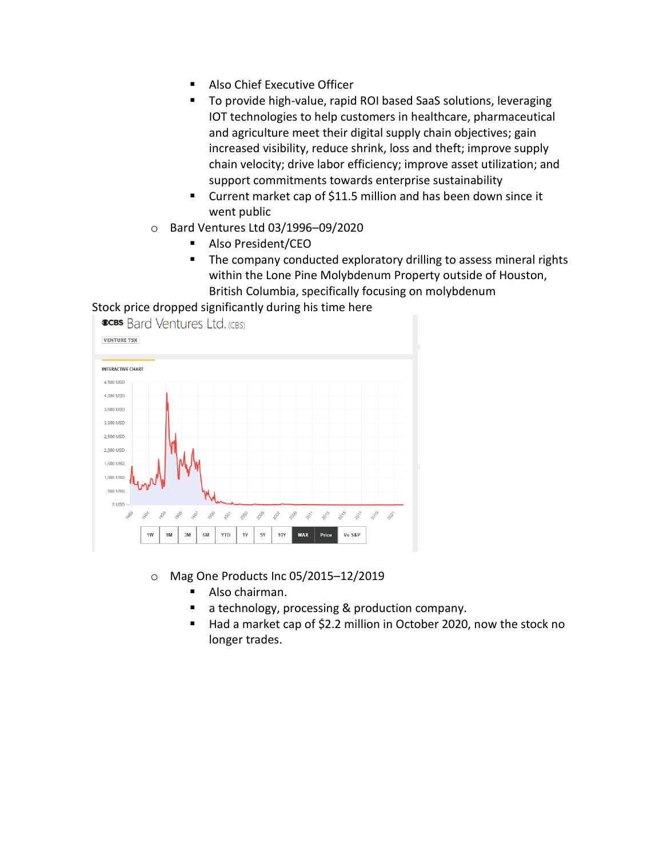- Also Chief Executive Officer
- To provide high-value, rapid ROI based SaaS solutions, leveraging IOT technologies to help customers in healthcare, pharmaceutical and agriculture meet their digital supply chain objectives; gain increased visibility, reduce shrink, loss and theft; improve supply chain velocity; drive labor efficiency; improve asset utilization; and support commitments towards enterprise sustainability
- Current market cap of \$11.5 million and has been down since it went public
- o Bard Ventures Ltd 03/1996–09/2020
	- Also President/CEO
	- The company conducted exploratory drilling to assess mineral rights within the Lone Pine Molybdenum Property outside of Houston, British Columbia, specifically focusing on molybdenum

Stock price dropped significantly during his time here



- o Mag One Products Inc 05/2015–12/2019
	- Also chairman.
	- a technology, processing & production company.
	- Had a market cap of \$2.2 million in October 2020, now the stock no longer trades.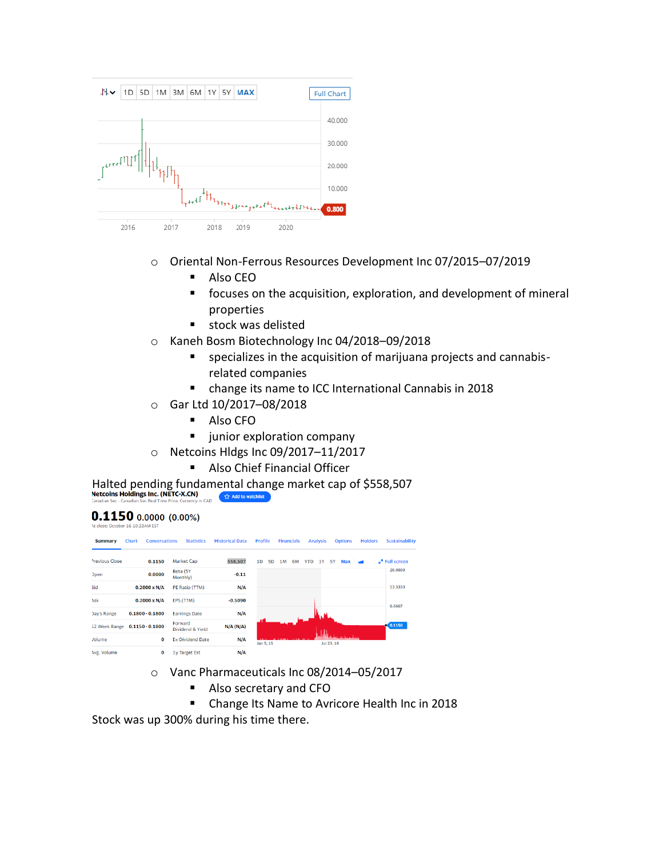

- o Oriental Non-Ferrous Resources Development Inc 07/2015–07/2019
	- Also CEO
	- focuses on the acquisition, exploration, and development of mineral properties
	- stock was delisted
- o Kaneh Bosm Biotechnology Inc 04/2018–09/2018
	- specializes in the acquisition of marijuana projects and cannabisrelated companies
	- change its name to ICC International Cannabis in 2018
- o Gar Ltd 10/2017–08/2018
	- Also CFO
	- **E** junior exploration company
- o Netcoins Hldgs Inc 09/2017–11/2017
	- Also Chief Financial Officer

Halted pending fundamental change market cap of \$558,507<br>Netcoins Holdings Inc. (NETC-X.CN)<br>Canadan Sec - Canadian Sec Real Time Price. Currency in CAD

## $0.1150$  0.0000 (0.00%)

| <b>Summary</b>     | <b>Conversations</b><br><b>Chart</b> | <b>Statistics</b>           | <b>Historical Data</b> | Profile        |                |    | <b>Financials</b> |            | <b>Analysis</b> |            | <b>Options</b> | <b>Holders</b> | <b>Sustainability</b>      |
|--------------------|--------------------------------------|-----------------------------|------------------------|----------------|----------------|----|-------------------|------------|-----------------|------------|----------------|----------------|----------------------------|
| Previous Close     | 0.1150                               | Market Cap                  | 558,507                | 1 <sub>D</sub> | 5 <sub>D</sub> | 1M | 6M                | <b>YTD</b> | <b>1Y</b>       | <b>5Y</b>  | <b>Max</b>     | المد           | $\mathbf{r}^n$ Full screen |
| <b>Dpen</b>        | 0.0000                               | Beta (5Y<br>Monthly)        | $-0.11$                |                |                |    |                   |            |                 |            |                |                | 20,0000                    |
| <b>Bid</b>         | $0.2000 \times N/A$                  | PE Ratio (TTM)              | N/A                    |                |                |    |                   |            |                 |            |                |                | 13.3333                    |
| Ask                | $0.2000 \times N/A$                  | EPS (TTM)                   | $-0.5090$              |                |                |    |                   |            |                 |            |                |                | 6.6667                     |
| <b>Day's Range</b> | $0.1800 - 0.1800$                    | <b>Earnings Date</b>        | N/A                    |                |                |    |                   |            |                 |            |                |                |                            |
| 52 Week Range      | $0.1150 - 0.1800$                    | Forward<br>Dividend & Yield | N/A (N/A)              |                |                |    |                   |            |                 |            |                |                | 0.1150                     |
| /olume             | 0                                    | <b>Ex-Dividend Date</b>     | N/A                    |                | Jan 5, 15      |    |                   |            |                 | Jul 23, 18 | ومناسبونيان    |                |                            |
| Avg. Volume        | 0                                    | 1y Target Est               | N/A                    |                |                |    |                   |            |                 |            |                |                |                            |

- o Vanc Pharmaceuticals Inc 08/2014–05/2017
	- Also secretary and CFO
	- Change Its Name to Avricore Health Inc in 2018

Stock was up 300% during his time there.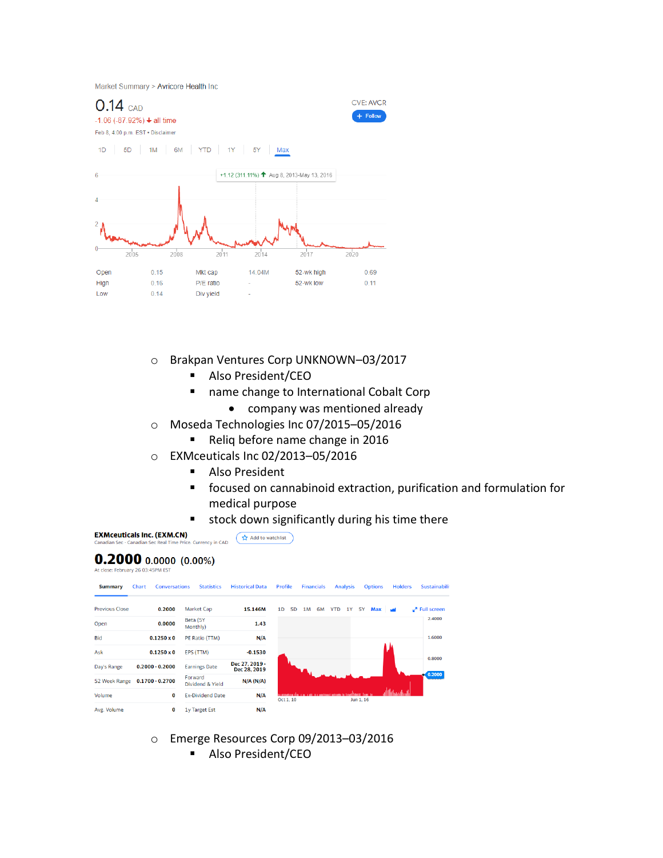Market Summary > Avricore Health Inc



- o Brakpan Ventures Corp UNKNOWN–03/2017
	- Also President/CEO
	- name change to International Cobalt Corp
		- company was mentioned already
- o Moseda Technologies Inc 07/2015–05/2016
	- Reliq before name change in 2016
- o EXMceuticals Inc 02/2013–05/2016
	- Also President
	- focused on cannabinoid extraction, purification and formulation for medical purpose
	- stock down significantly during his time there

**EXMceuticals Inc. (EXM.CN)**  $\left(\begin{array}{c}\n\sqrt{\lambda} & \text{Add to watchlist}\n\end{array}\right)$ **Currency in CAD** 

## $0.2000$  0.0000 (0.00%) At close: February 26 03:45PM EST

| <b>Summary</b>        | Chart             | <b>Conversations</b> | <b>Statistics</b>           | <b>Historical Data</b>         | <b>Profile</b> |           | <b>Financials</b> |    |            | <b>Analysis</b> |           | <b>Options</b> | <b>Holders</b> | <b>Sustainabilit</b>   |  |
|-----------------------|-------------------|----------------------|-----------------------------|--------------------------------|----------------|-----------|-------------------|----|------------|-----------------|-----------|----------------|----------------|------------------------|--|
| <b>Previous Close</b> | 0.2000            |                      | Market Cap                  | 15.146M                        | 1D             | <b>5D</b> | 1M                | 6M | <b>YTD</b> | 1Y              | <b>5Y</b> | Max M          |                | $\sqrt{2}$ Full screen |  |
| Open                  | 0.0000            |                      | Beta (5Y<br>Monthly)        | 1.43                           |                |           |                   |    |            |                 |           |                |                | 2.4000                 |  |
| <b>Bid</b>            | $0.1250 \times 0$ |                      | PE Ratio (TTM)              | N/A                            |                |           |                   |    |            |                 |           |                |                | 1.6000                 |  |
| Ask                   | $0.1250\times 0$  |                      | EPS (TTM)                   | $-0.1530$                      |                |           |                   |    |            |                 |           |                |                |                        |  |
| Day's Range           | $0.2000 - 0.2000$ |                      | <b>Earnings Date</b>        | Dec 27, 2019 -<br>Dec 28, 2019 |                |           |                   |    |            |                 |           |                |                | 0.8000                 |  |
| 52 Week Range         | $0.1700 - 0.2700$ |                      | Forward<br>Dividend & Yield | N/A (N/A)                      |                |           |                   |    |            |                 |           |                |                | 0.2000                 |  |
| Volume                |                   | 0                    | <b>Ex-Dividend Date</b>     | N/A                            |                | Oct 1, 10 |                   |    |            |                 | Jun 1, 16 |                |                |                        |  |
| Avg. Volume           |                   | 0                    | <b>1y Target Est</b>        | N/A                            |                |           |                   |    |            |                 |           |                |                |                        |  |

- o Emerge Resources Corp 09/2013–03/2016
	- Also President/CEO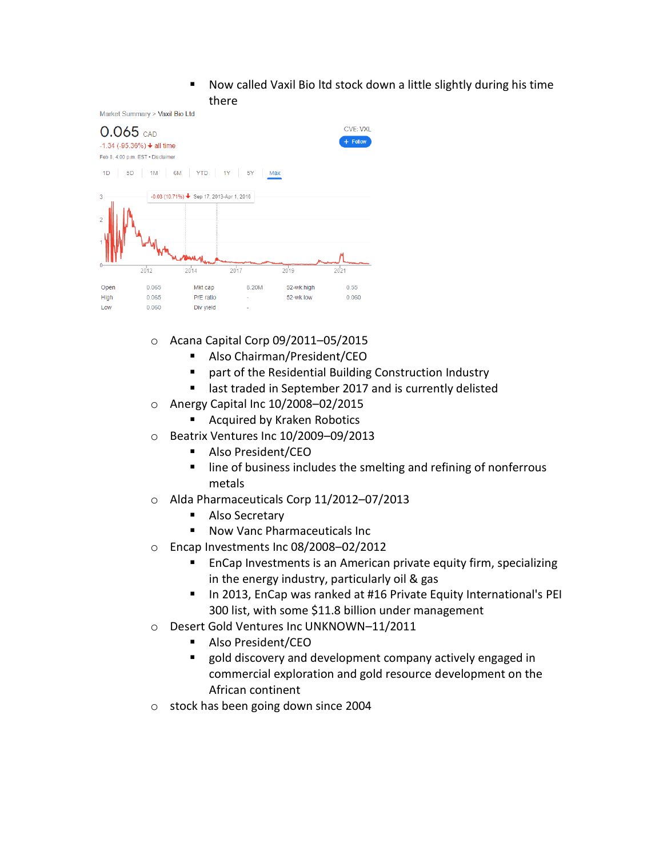■ Now called Vaxil Bio ltd stock down a little slightly during his time there

Market Summary > Vaxil Bio Ltd



- o Acana Capital Corp 09/2011–05/2015
	- Also Chairman/President/CEO
	- part of the Residential Building Construction Industry
	- last traded in September 2017 and is currently delisted
- o Anergy Capital Inc 10/2008–02/2015
	- Acquired by Kraken Robotics
- o Beatrix Ventures Inc 10/2009–09/2013
	- Also President/CEO
	- line of business includes the smelting and refining of nonferrous metals
- o Alda Pharmaceuticals Corp 11/2012–07/2013
	- Also Secretary
	- Now Vanc Pharmaceuticals Inc
- o Encap Investments Inc 08/2008–02/2012
	- EnCap Investments is an American private equity firm, specializing in the energy industry, particularly oil & gas
	- In 2013, EnCap was ranked at #16 Private Equity International's PEI 300 list, with some \$11.8 billion under management
- o Desert Gold Ventures Inc UNKNOWN–11/2011
	- Also President/CEO
	- gold discovery and development company actively engaged in commercial exploration and gold resource development on the African continent
- o stock has been going down since 2004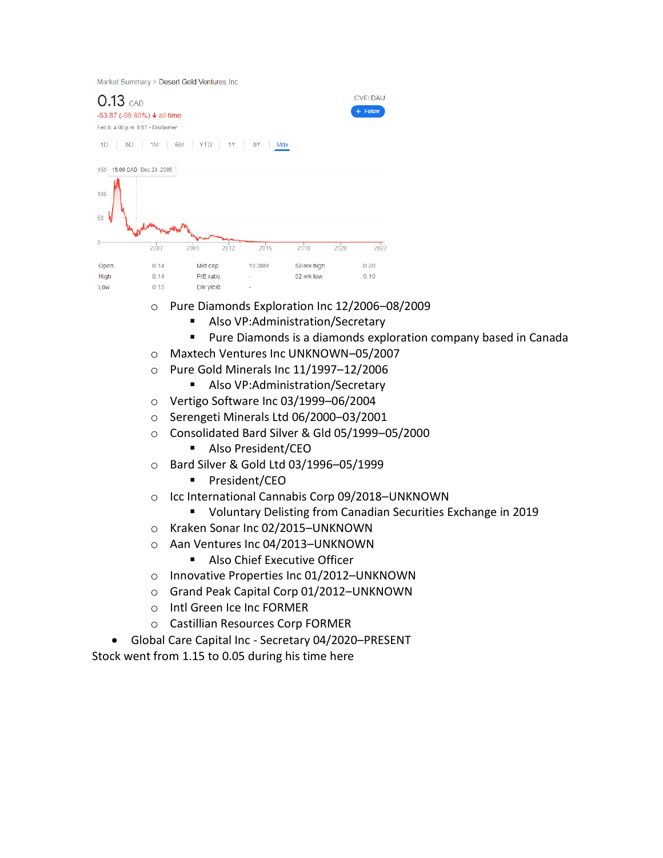|  | Market Summary > Desert Gold Ventures Inc |
|--|-------------------------------------------|
|  |                                           |

| $0.13$ CAD<br>$-63.87$ ( $-99.80\%$ ) $\div$ all time<br>Feb 8, 4:00 p.m. EST . Disclaimer<br>5D<br>1D | 1M                     | 6M YTD 1Y |      | 5Y<br>Max |            |      | <b>CVE: DAU</b><br>$+$ Follow |
|--------------------------------------------------------------------------------------------------------|------------------------|-----------|------|-----------|------------|------|-------------------------------|
| 150                                                                                                    | 16.00 CAD Dec 23, 2005 |           |      |           |            |      |                               |
| 100                                                                                                    |                        |           |      |           |            |      |                               |
| 50                                                                                                     |                        |           |      |           |            |      |                               |
|                                                                                                        | 2007                   | 2009      | 2012 | 2015      | 2018       | 2020 | 2022                          |
| Open                                                                                                   | 0.14                   | Mkt cap   |      | 19.38M    | 52-wk high |      | 0.20                          |
| High                                                                                                   | 0.14                   | P/E ratio |      |           | 52-wk low  |      | 0.10                          |
| Low                                                                                                    | 0.13                   | Div yield |      |           |            |      |                               |

- o Pure Diamonds Exploration Inc 12/2006–08/2009
	- Also VP:Administration/Secretary
	- Pure Diamonds is a diamonds exploration company based in Canada
- o Maxtech Ventures Inc UNKNOWN–05/2007
- o Pure Gold Minerals Inc 11/1997–12/2006
	- Also VP:Administration/Secretary
- o Vertigo Software Inc 03/1999–06/2004
- o Serengeti Minerals Ltd 06/2000–03/2001
- o Consolidated Bard Silver & Gld 05/1999–05/2000
	- Also President/CEO
- o Bard Silver & Gold Ltd 03/1996–05/1999
	- President/CEO
- o Icc International Cannabis Corp 09/2018–UNKNOWN
	- Voluntary Delisting from Canadian Securities Exchange in 2019
- o Kraken Sonar Inc 02/2015–UNKNOWN
- o Aan Ventures Inc 04/2013–UNKNOWN
	- Also Chief Executive Officer
- o Innovative Properties Inc 01/2012–UNKNOWN
- o Grand Peak Capital Corp 01/2012–UNKNOWN
- o Intl Green Ice Inc FORMER
- o Castillian Resources Corp FORMER
- Global Care Capital Inc Secretary 04/2020–PRESENT

Stock went from 1.15 to 0.05 during his time here